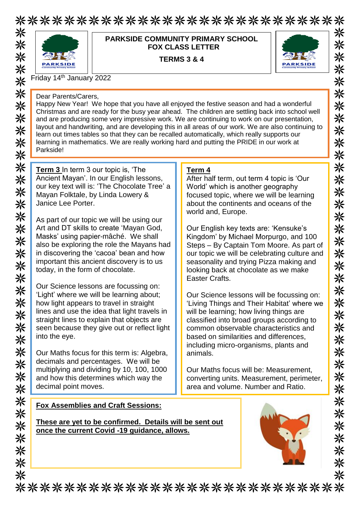## \*\*\*\*\*\*\*\*\*\*\*\*\*\*\*\*\*\*\*\*\*\*\*\*\*\*\* ⋇



#### **PARKSIDE COMMUNITY PRIMARY SCHOOL FOX CLASS LETTER**

**TERMS 3 & 4**



Friday 14th January 2022

Dear Parents/Carers,

Happy New Year! We hope that you have all enjoyed the festive season and had a wonderful Christmas and are ready for the busy year ahead. The children are settling back into school well and are producing some very impressive work. We are continuing to work on our presentation, layout and handwriting, and are developing this in all areas of our work. We are also continuing to learn out times tables so that they can be recalled automatically, which really supports our learning in mathematics. We are really working hard and putting the PRIDE in our work at Parkside!

**Term 3** In term 3 our topic is, 'The Ancient Mayan'. In our English lessons, our key text will is: 'The Chocolate Tree' a Mayan Folktale, by Linda Lowery & Janice Lee Porter.

As part of our topic we will be using our Art and DT skills to create 'Mayan God, Masks' using papier-mâché. We shall also be exploring the role the Mayans had in discovering the 'cacoa' bean and how important this ancient discovery is to us today, in the form of chocolate.

Our Science lessons are focussing on: 'Light' where we will be learning about; how light appears to travel in straight lines and use the idea that light travels in straight lines to explain that objects are seen because they give out or reflect light into the eye.

Our Maths focus for this term is: Algebra, decimals and percentages. We will be multiplying and dividing by 10, 100, 1000 and how this determines which way the decimal point moves.

### **Term 4**

After half term, out term 4 topic is 'Our World' which is another geography focused topic, where we will be learning about the continents and oceans of the world and, Europe.

Our English key texts are: 'Kensuke's Kingdom' by Michael Morpurgo, and 100 Steps – By Captain Tom Moore. As part of our topic we will be celebrating culture and seasonality and trying Pizza making and looking back at chocolate as we make Easter Crafts.

Our Science lessons will be focussing on: 'Living Things and Their Habitat' where we will be learning; how living things are classified into broad groups according to common observable characteristics and based on similarities and differences, including micro-organisms, plants and animals.

Our Maths focus will be: Measurement, converting units. Measurement, perimeter, area and volume. Number and Ratio.

**Fox Assemblies and Craft Sessions:**

**These are yet to be confirmed. Details will be sent out once the current Covid -19 guidance, allows.** 



兴 米 ⋇ 米 米 米 米 米 米 米 米 ☀ 米 米 米 米 ※ 米 ☀ 米 ☀ 米 米 米 米 米 米 米 米 米 米 米 米 ⋇

\*\*\*\*\*\*\*\*\*\*\*\*\*\*\*\*\*\*\*\*\*\*\*\*\*\*\*